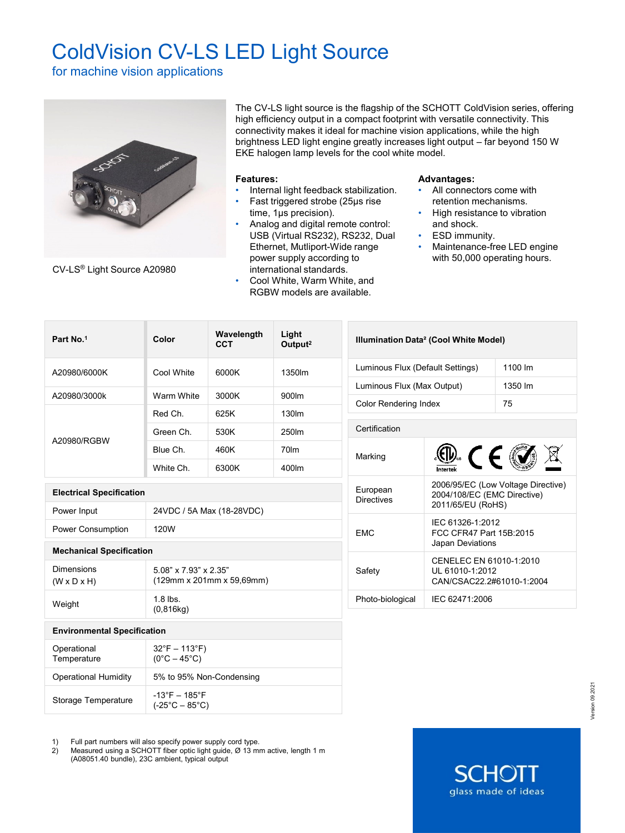# ColdVision CV-LS LED Light Source

for machine vision applications



CV-LS® Light Source A20980

The CV-LS light source is the flagship of the SCHOTT ColdVision series, offering high efficiency output in a compact footprint with versatile connectivity. This connectivity makes it ideal for machine vision applications, while the high brightness LED light engine greatly increases light output – far beyond 150 W EKE halogen lamp levels for the cool white model.

### **Features:**

- Internal light feedback stabilization.
- Fast triggered strobe (25µs rise time, 1µs precision).
- Analog and digital remote control: USB (Virtual RS232), RS232, Dual Ethernet, Mutliport-Wide range power supply according to international standards.
- Cool White, Warm White, and RGBW models are available.

## **Advantages:**

- All connectors come with retention mechanisms.
- High resistance to vibration and shock.
- **ESD** immunity.
- Maintenance-free LED engine with 50,000 operating hours.

**SCHO** 

glass made of ideas

| Part No.1                                                                              | Light<br>Wavelength<br>Color<br><b>CCT</b><br>Output <sup>2</sup> |       | Illumination Data <sup>2</sup> (Cool White Model) |                                  |                                                                                        |         |  |
|----------------------------------------------------------------------------------------|-------------------------------------------------------------------|-------|---------------------------------------------------|----------------------------------|----------------------------------------------------------------------------------------|---------|--|
| A20980/6000K                                                                           | Cool White                                                        | 6000K | 1350lm                                            | Luminous Flux (Default Settings) |                                                                                        | 1100 lm |  |
|                                                                                        |                                                                   |       |                                                   |                                  | Luminous Flux (Max Output)<br>1350 lm                                                  |         |  |
| A20980/3000k                                                                           | Warm White                                                        | 3000K | 900lm                                             |                                  | <b>Color Rendering Index</b><br>75                                                     |         |  |
| A20980/RGBW                                                                            | Red Ch.                                                           | 625K  | 130lm                                             |                                  |                                                                                        |         |  |
|                                                                                        | Green Ch.                                                         | 530K  | 250lm                                             |                                  | Certification                                                                          |         |  |
|                                                                                        | Blue Ch.                                                          | 460K  | 70lm                                              | Marking                          |                                                                                        |         |  |
|                                                                                        | White Ch.                                                         | 6300K | 400lm                                             |                                  | $\circled{w}$ (EQ                                                                      |         |  |
| <b>Electrical Specification</b>                                                        |                                                                   |       |                                                   | European<br><b>Directives</b>    | 2006/95/EC (Low Voltage Directive)<br>2004/108/EC (EMC Directive)<br>2011/65/EU (RoHS) |         |  |
| Power Input                                                                            | 24VDC / 5A Max (18-28VDC)                                         |       |                                                   |                                  | IEC 61326-1:2012<br><b>EMC</b><br>FCC CFR47 Part 15B:2015<br>Japan Deviations          |         |  |
| Power Consumption                                                                      | 120W                                                              |       |                                                   |                                  |                                                                                        |         |  |
| <b>Mechanical Specification</b>                                                        |                                                                   |       |                                                   |                                  |                                                                                        |         |  |
| <b>Dimensions</b><br>$(W \times D \times H)$                                           | 5.08" x 7.93" x 2.35"<br>(129mm x 201mm x 59,69mm)                |       |                                                   | Safety                           | CENELEC EN 61010-1:2010<br>UL 61010-1:2012<br>CAN/CSAC22.2#61010-1:2004                |         |  |
| Weight                                                                                 | $1.8$ lbs.<br>(0,816kg)                                           |       |                                                   | Photo-biological                 | IEC 62471:2006                                                                         |         |  |
| <b>Environmental Specification</b>                                                     |                                                                   |       |                                                   |                                  |                                                                                        |         |  |
| Operational<br>Temperature                                                             | $32^{\circ}F - 113^{\circ}F$<br>$(0^{\circ}C - 45^{\circ}C)$      |       |                                                   |                                  |                                                                                        |         |  |
| <b>Operational Humidity</b>                                                            | 5% to 95% Non-Condensing                                          |       |                                                   |                                  |                                                                                        |         |  |
| $-13^{\circ}F - 185^{\circ}F$<br>Storage Temperature<br>$(-25^{\circ}C - 85^{\circ}C)$ |                                                                   |       |                                                   |                                  |                                                                                        |         |  |

1) Full part numbers will also specify power supply cord type.

2) Measured using a SCHOTT fiber optic light guide, Ø 13 mm active, length 1 m (A08051.40 bundle), 23C ambient, typical output